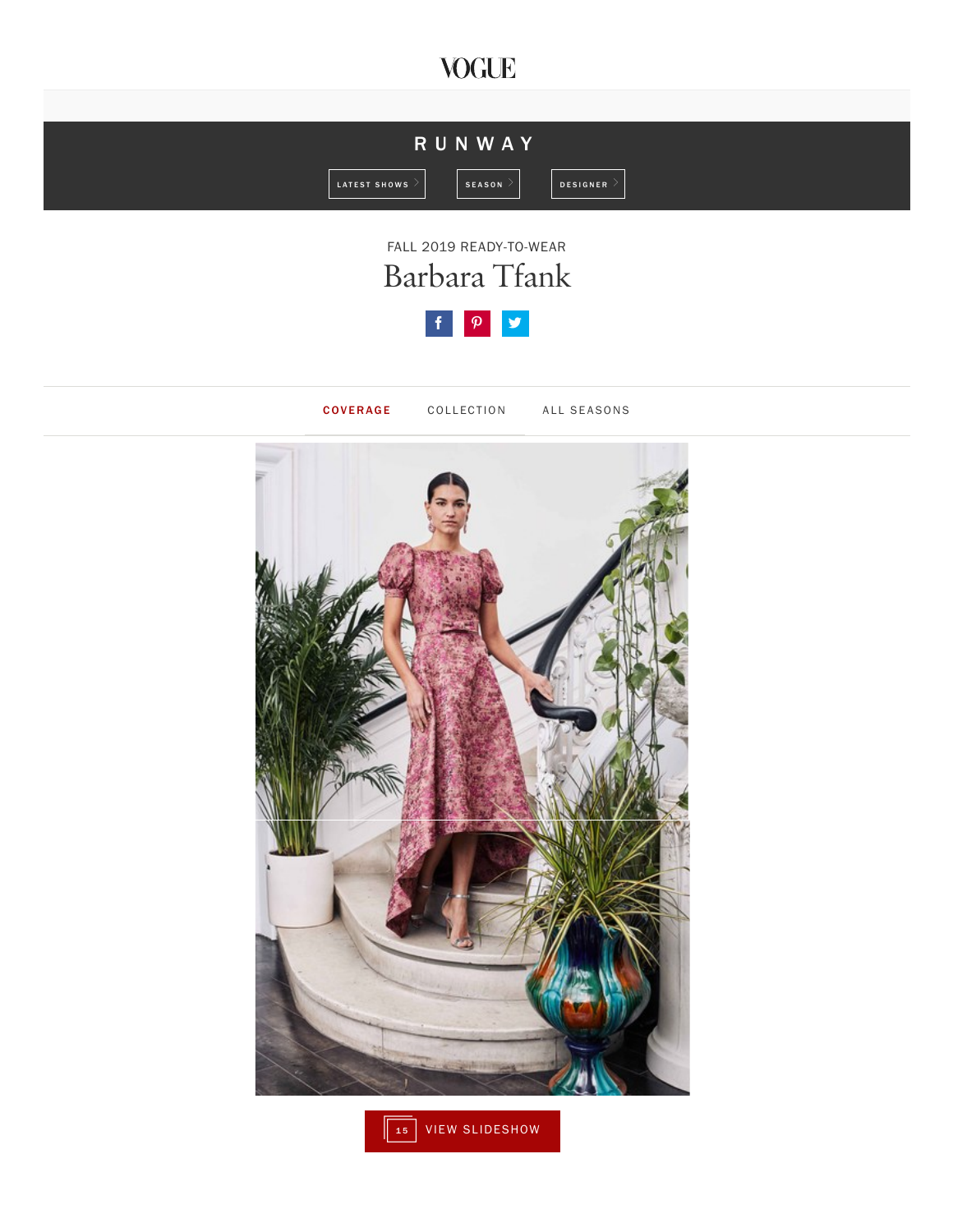## **VOGUE**





COVERAGE COLLECTION ALL SEASONS



 $\sqrt{\frac{15}{15}}$  VIEW SLIDESHOW